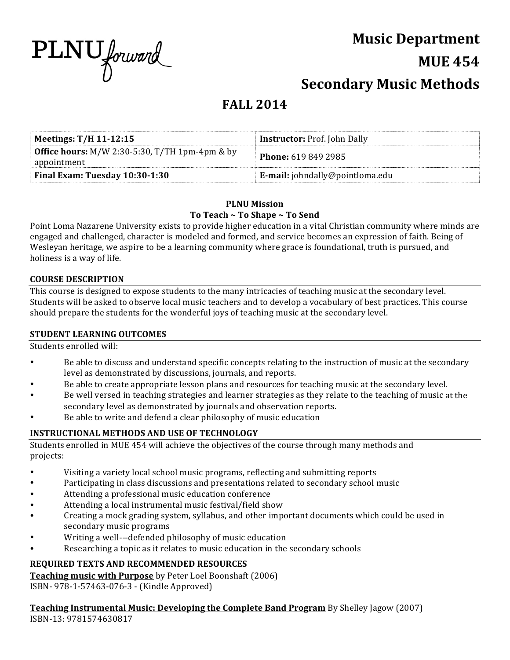

# **Music Department**

# **MUE 454**

# **Secondary Music Methods**

# **FALL 2014**

| Meetings: $T/H$ 11-12:15                                               | <b>Instructor:</b> Prof. John Dally    |
|------------------------------------------------------------------------|----------------------------------------|
| <b>Office hours:</b> $M/W$ 2:30-5:30, T/TH 1pm-4pm & by<br>appointment | <b>Phone: 619 849 2985</b>             |
| Final Exam: Tuesday 10:30-1:30                                         | <b>E-mail:</b> johndally@pointloma.edu |

### **PLNU Mission** To Teach ~ To Shape ~ To Send

Point Loma Nazarene University exists to provide higher education in a vital Christian community where minds are engaged and challenged, character is modeled and formed, and service becomes an expression of faith. Being of Wesleyan heritage, we aspire to be a learning community where grace is foundational, truth is pursued, and holiness is a way of life.

### **COURSE DESCRIPTION**

This course is designed to expose students to the many intricacies of teaching music at the secondary level. Students will be asked to observe local music teachers and to develop a vocabulary of best practices. This course should prepare the students for the wonderful joys of teaching music at the secondary level.

### **STUDENT LEARNING OUTCOMES**

Students enrolled will:

- Be able to discuss and understand specific concepts relating to the instruction of music at the secondary level as demonstrated by discussions, journals, and reports.
- Be able to create appropriate lesson plans and resources for teaching music at the secondary level.
- Be well versed in teaching strategies and learner strategies as they relate to the teaching of music at the secondary level as demonstrated by journals and observation reports.
- Be able to write and defend a clear philosophy of music education

# **INSTRUCTIONAL METHODS AND USE OF TECHNOLOGY**

Students enrolled in MUE 454 will achieve the objectives of the course through many methods and projects: 

- Visiting a variety local school music programs, reflecting and submitting reports
- Participating in class discussions and presentations related to secondary school music
- Attending a professional music education conference
- Attending a local instrumental music festival/field show
- Creating a mock grading system, syllabus, and other important documents which could be used in secondary music programs
- Writing a well---defended philosophy of music education
- Researching a topic as it relates to music education in the secondary schools

# **REQUIRED TEXTS AND RECOMMENDED RESOURCES**

**Teaching music with Purpose** by Peter Loel Boonshaft (2006) ISBN- 978-1-57463-076-3 - (Kindle Approved)

**Teaching Instrumental Music: Developing the Complete Band Program** By Shelley Jagow (2007) ISBN-13: 9781574630817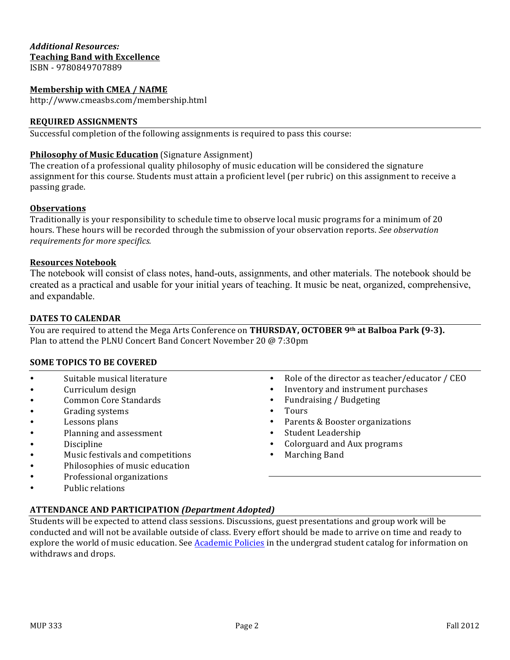# *Additional Resources:* **Teaching Band with Excellence**

ISBN - 9780849707889

#### **Membership with CMEA / NAfME**

http://www.cmeasbs.com/membership.html

#### **REQUIRED ASSIGNMENTS**

Successful completion of the following assignments is required to pass this course:

#### **Philosophy of Music Education** (Signature Assignment)

The creation of a professional quality philosophy of music education will be considered the signature assignment for this course. Students must attain a proficient level (per rubric) on this assignment to receive a passing grade.

#### **Observations**

Traditionally is your responsibility to schedule time to observe local music programs for a minimum of 20 hours. These hours will be recorded through the submission of your observation reports. *See observation requirements for more specifics.* 

#### **Resources Notebook**

The notebook will consist of class notes, hand-outs, assignments, and other materials. The notebook should be created as a practical and usable for your initial years of teaching. It music be neat, organized, comprehensive, and expandable.

#### **DATES TO CALENDAR**

You are required to attend the Mega Arts Conference on **THURSDAY, OCTOBER 9th at Balboa Park (9-3).** Plan to attend the PLNU Concert Band Concert November 20 @ 7:30pm

#### **SOME TOPICS TO BE COVERED**

- Suitable musical literature
- Curriculum design
- Common Core Standards
- Grading systems
- Lessons plans
- Planning and assessment
- Discipline
- Music festivals and competitions
- Philosophies of music education
- Professional organizations
- Public relations
- Role of the director as teacher/educator / CEO
- Inventory and instrument purchases
- Fundraising / Budgeting
- Tours
- Parents & Booster organizations
- Student Leadership
- Colorguard and Aux programs
- Marching Band

### **ATTENDANCE AND PARTICIPATION** *(Department Adopted)*

Students will be expected to attend class sessions. Discussions, guest presentations and group work will be conducted and will not be available outside of class. Every effort should be made to arrive on time and ready to explore the world of music education. See Academic Policies in the undergrad student catalog for information on withdraws and drops.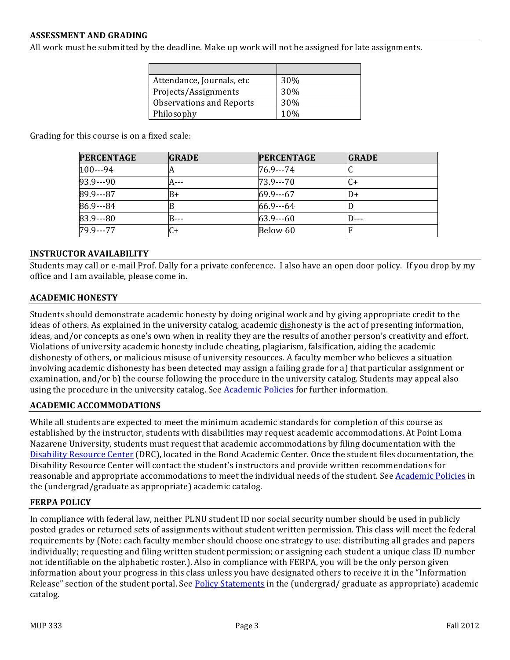#### **ASSESSMENT AND GRADING**

All work must be submitted by the deadline. Make up work will not be assigned for late assignments.

| Attendance, Journals, etc       | 30% |
|---------------------------------|-----|
| Projects/Assignments            | 30% |
| <b>Observations and Reports</b> | 30% |
| Philosophy                      | 10% |

Grading for this course is on a fixed scale:

| <b>PERCENTAGE</b> | <b>GRADE</b> | <b>PERCENTAGE</b> | <b>GRADE</b> |
|-------------------|--------------|-------------------|--------------|
| $100--94$         |              | 76.9---74         |              |
| 93.9 - - - - 90   | $A - - -$    | $73.9--70$        |              |
| 89.9---87         | B+           | $69.9 - -67$      | II)+         |
| 86.9---84         |              | $66.9 - -64$      |              |
| 83.9 - - - 80     | R---         | $63.9--60$        |              |
| 79.9 - - - 77     | C+           | Below 60          |              |

#### **INSTRUCTOR AVAILABILITY**

Students may call or e-mail Prof. Dally for a private conference. I also have an open door policy. If you drop by my office and I am available, please come in.

#### **ACADEMIC HONESTY**

Students should demonstrate academic honesty by doing original work and by giving appropriate credit to the ideas of others. As explained in the university catalog, academic dishonesty is the act of presenting information, ideas, and/or concepts as one's own when in reality they are the results of another person's creativity and effort. Violations of university academic honesty include cheating, plagiarism, falsification, aiding the academic dishonesty of others, or malicious misuse of university resources. A faculty member who believes a situation involving academic dishonesty has been detected may assign a failing grade for a) that particular assignment or examination, and/or b) the course following the procedure in the university catalog. Students may appeal also using the procedure in the university catalog. See **Academic Policies** for further information.

#### **ACADEMIC ACCOMMODATIONS**

While all students are expected to meet the minimum academic standards for completion of this course as established by the instructor, students with disabilities may request academic accommodations. At Point Loma Nazarene University, students must request that academic accommodations by filing documentation with the Disability Resource Center (DRC), located in the Bond Academic Center. Once the student files documentation, the Disability Resource Center will contact the student's instructors and provide written recommendations for reasonable and appropriate accommodations to meet the individual needs of the student. See Academic Policies in the (undergrad/graduate as appropriate) academic catalog.

#### **FERPA POLICY**

In compliance with federal law, neither PLNU student ID nor social security number should be used in publicly posted grades or returned sets of assignments without student written permission. This class will meet the federal requirements by (Note: each faculty member should choose one strategy to use: distributing all grades and papers individually; requesting and filing written student permission; or assigning each student a unique class ID number not identifiable on the alphabetic roster.). Also in compliance with FERPA, you will be the only person given information about your progress in this class unless you have designated others to receive it in the "Information Release" section of the student portal. See Policy Statements in the (undergrad/ graduate as appropriate) academic catalog.